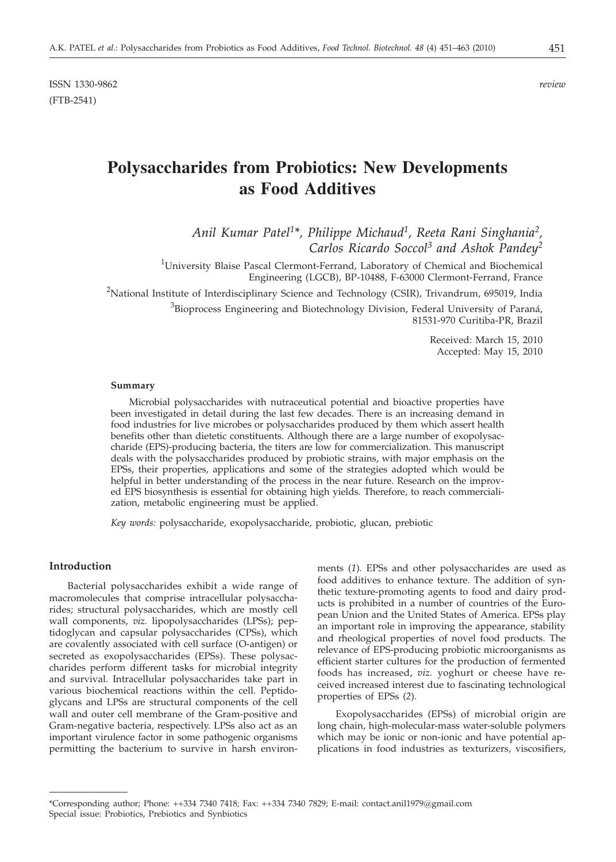# **Polysaccharides from Probiotics: New Developments as Food Additives**

*Anil Kumar Patel1\*, Philippe Michaud1, Reeta Rani Singhania2, Carlos Ricardo Soccol3 and Ashok Pandey2*

<sup>1</sup>University Blaise Pascal Clermont-Ferrand, Laboratory of Chemical and Biochemical Engineering (LGCB), BP-10488, F-63000 Clermont-Ferrand, France

 $^{2}$ National Institute of Interdisciplinary Science and Technology (CSIR), Trivandrum, 695019, India

 ${}^{3}$ Bioprocess Engineering and Biotechnology Division, Federal University of Paraná, 81531-970 Curitiba-PR, Brazil

> Received: March 15, 2010 Accepted: May 15, 2010

#### **Summary**

Microbial polysaccharides with nutraceutical potential and bioactive properties have been investigated in detail during the last few decades. There is an increasing demand in food industries for live microbes or polysaccharides produced by them which assert health benefits other than dietetic constituents. Although there are a large number of exopolysaccharide (EPS)-producing bacteria, the titers are low for commercialization. This manuscript deals with the polysaccharides produced by probiotic strains, with major emphasis on the EPSs, their properties, applications and some of the strategies adopted which would be helpful in better understanding of the process in the near future. Research on the improved EPS biosynthesis is essential for obtaining high yields. Therefore, to reach commercialization, metabolic engineering must be applied.

*Key words:* polysaccharide, exopolysaccharide, probiotic, glucan, prebiotic

## **Introduction**

Bacterial polysaccharides exhibit a wide range of macromolecules that comprise intracellular polysaccharides; structural polysaccharides, which are mostly cell wall components, *viz.* lipopolysaccharides (LPSs); peptidoglycan and capsular polysaccharides (CPSs), which are covalently associated with cell surface (O-antigen) or secreted as exopolysaccharides (EPSs). These polysaccharides perform different tasks for microbial integrity and survival. Intracellular polysaccharides take part in various biochemical reactions within the cell. Peptidoglycans and LPSs are structural components of the cell wall and outer cell membrane of the Gram-positive and Gram-negative bacteria, respectively. LPSs also act as an important virulence factor in some pathogenic organisms permitting the bacterium to survive in harsh environ-

ments (*1*)*.* EPSs and other polysaccharides are used as food additives to enhance texture. The addition of synthetic texture-promoting agents to food and dairy products is prohibited in a number of countries of the European Union and the United States of America. EPSs play an important role in improving the appearance, stability and rheological properties of novel food products. The relevance of EPS-producing probiotic microorganisms as efficient starter cultures for the production of fermented foods has increased, *viz.* yoghurt or cheese have received increased interest due to fascinating technological properties of EPSs (*2*).

Exopolysaccharides (EPSs) of microbial origin are long chain, high-molecular-mass water-soluble polymers which may be ionic or non-ionic and have potential applications in food industries as texturizers, viscosifiers,

<sup>\*</sup>Corresponding author; Phone: ++334 7340 7418; Fax: ++334 7340 7829; E-mail: contact.anil1979@gmail.com Special issue: Probiotics, Prebiotics and Synbiotics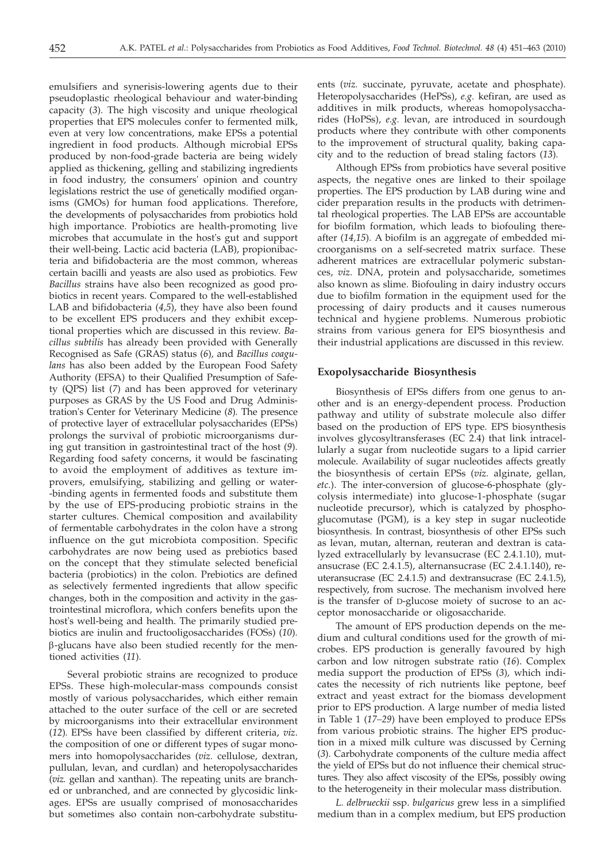emulsifiers and synerisis-lowering agents due to their pseudoplastic rheological behaviour and water-binding capacity (*3*)*.* The high viscosity and unique rheological properties that EPS molecules confer to fermented milk, even at very low concentrations, make EPSs a potential ingredient in food products. Although microbial EPSs produced by non-food-grade bacteria are being widely applied as thickening, gelling and stabilizing ingredients in food industry, the consumers' opinion and country legislations restrict the use of genetically modified organisms (GMOs) for human food applications. Therefore, the developments of polysaccharides from probiotics hold high importance. Probiotics are health-promoting live microbes that accumulate in the host's gut and support their well-being. Lactic acid bacteria (LAB), propionibacteria and bifidobacteria are the most common, whereas certain bacilli and yeasts are also used as probiotics. Few *Bacillus* strains have also been recognized as good probiotics in recent years. Compared to the well-established LAB and bifidobacteria (*4,5*), they have also been found to be excellent EPS producers and they exhibit exceptional properties which are discussed in this review. *Bacillus subtilis* has already been provided with Generally Recognised as Safe (GRAS) status (*6*)*,* and *Bacillus coagulans* has also been added by the European Food Safety Authority (EFSA) to their Qualified Presumption of Safety (QPS) list (*7*) and has been approved for veterinary purposes as GRAS by the US Food and Drug Administration's Center for Veterinary Medicine (*8*)*.* The presence of protective layer of extracellular polysaccharides (EPSs) prolongs the survival of probiotic microorganisms during gut transition in gastrointestinal tract of the host (*9*)*.* Regarding food safety concerns, it would be fascinating to avoid the employment of additives as texture improvers, emulsifying, stabilizing and gelling or water- -binding agents in fermented foods and substitute them by the use of EPS-producing probiotic strains in the starter cultures. Chemical composition and availability of fermentable carbohydrates in the colon have a strong influence on the gut microbiota composition. Specific carbohydrates are now being used as prebiotics based on the concept that they stimulate selected beneficial bacteria (probiotics) in the colon. Prebiotics are defined as selectively fermented ingredients that allow specific changes, both in the composition and activity in the gastrointestinal microflora, which confers benefits upon the host's well-being and health. The primarily studied prebiotics are inulin and fructooligosaccharides (FOSs) (*10*)*.* b-glucans have also been studied recently for the mentioned activities (*11*)*.*

Several probiotic strains are recognized to produce EPSs. These high-molecular-mass compounds consist mostly of various polysaccharides, which either remain attached to the outer surface of the cell or are secreted by microorganisms into their extracellular environment (*12*)*.* EPSs have been classified by different criteria, *viz*. the composition of one or different types of sugar monomers into homopolysaccharides (*viz.* cellulose, dextran, pullulan, levan, and curdlan) and heteropolysaccharides (*viz.* gellan and xanthan). The repeating units are branched or unbranched, and are connected by glycosidic linkages. EPSs are usually comprised of monosaccharides but sometimes also contain non-carbohydrate substitu-

ents (*viz.* succinate, pyruvate, acetate and phosphate). Heteropolysaccharides (HePSs), *e.g.* kefiran, are used as additives in milk products, whereas homopolysaccharides (HoPSs), *e.g.* levan, are introduced in sourdough products where they contribute with other components to the improvement of structural quality, baking capacity and to the reduction of bread staling factors (*13*)*.*

Although EPSs from probiotics have several positive aspects, the negative ones are linked to their spoilage properties. The EPS production by LAB during wine and cider preparation results in the products with detrimental rheological properties. The LAB EPSs are accountable for biofilm formation, which leads to biofouling thereafter (*14,15*)*.* A biofilm is an aggregate of embedded microorganisms on a self-secreted matrix surface. These adherent matrices are extracellular polymeric substances, *viz*. DNA, protein and polysaccharide, sometimes also known as slime. Biofouling in dairy industry occurs due to biofilm formation in the equipment used for the processing of dairy products and it causes numerous technical and hygiene problems. Numerous probiotic strains from various genera for EPS biosynthesis and their industrial applications are discussed in this review.

#### **Exopolysaccharide Biosynthesis**

Biosynthesis of EPSs differs from one genus to another and is an energy-dependent process. Production pathway and utility of substrate molecule also differ based on the production of EPS type. EPS biosynthesis involves glycosyltransferases (EC 2.4) that link intracellularly a sugar from nucleotide sugars to a lipid carrier molecule. Availability of sugar nucleotides affects greatly the biosynthesis of certain EPSs (*viz.* alginate, gellan, *etc*.). The inter-conversion of glucose-6-phosphate (glycolysis intermediate) into glucose-1-phosphate (sugar nucleotide precursor), which is catalyzed by phosphoglucomutase (PGM), is a key step in sugar nucleotide biosynthesis. In contrast, biosynthesis of other EPSs such as levan, mutan, alternan, reuteran and dextran is catalyzed extracellularly by levansucrase (EC 2.4.1.10), mutansucrase (EC 2.4.1.5), alternansucrase (EC 2.4.1.140), reuteransucrase (EC 2.4.1.5) and dextransucrase (EC 2.4.1.5), respectively, from sucrose. The mechanism involved here is the transfer of D-glucose moiety of sucrose to an acceptor monosaccharide or oligosaccharide.

The amount of EPS production depends on the medium and cultural conditions used for the growth of microbes. EPS production is generally favoured by high carbon and low nitrogen substrate ratio (*16*). Complex media support the production of EPSs (*3*)*,* which indicates the necessity of rich nutrients like peptone, beef extract and yeast extract for the biomass development prior to EPS production. A large number of media listed in Table 1 (*17–29*) have been employed to produce EPSs from various probiotic strains. The higher EPS production in a mixed milk culture was discussed by Cerning (*3*). Carbohydrate components of the culture media affect the yield of EPSs but do not influence their chemical structures. They also affect viscosity of the EPSs, possibly owing to the heterogeneity in their molecular mass distribution.

*L. delbrueckii* ssp. *bulgaricus* grew less in a simplified medium than in a complex medium, but EPS production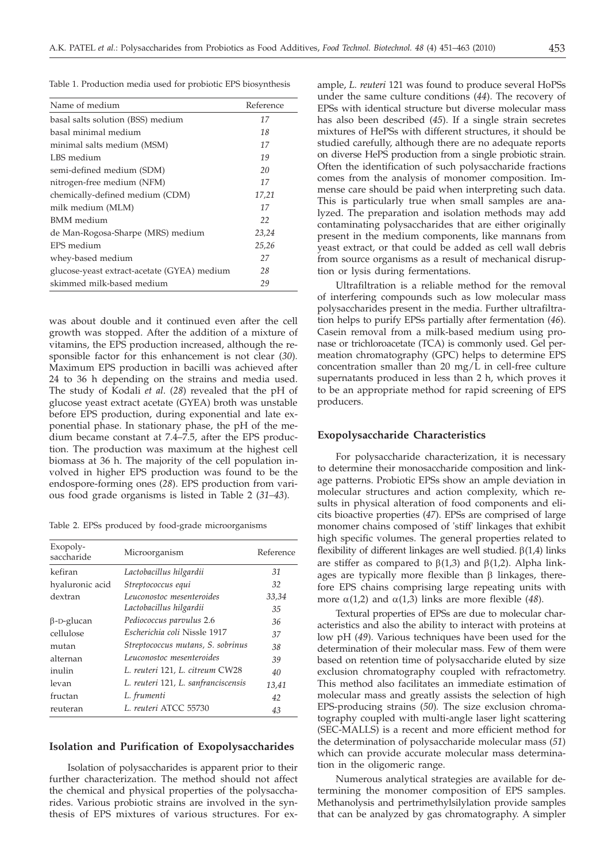Table 1. Production media used for probiotic EPS biosynthesis

| Name of medium                              | Reference |
|---------------------------------------------|-----------|
| basal salts solution (BSS) medium           | 17        |
| basal minimal medium                        | 18        |
| minimal salts medium (MSM)                  | 17        |
| LBS medium                                  | 19        |
| semi-defined medium (SDM)                   | 20        |
| nitrogen-free medium (NFM)                  | 17        |
| chemically-defined medium (CDM)             | 17,21     |
| milk medium (MLM)                           | 17        |
| BMM medium                                  | 22        |
| de Man-Rogosa-Sharpe (MRS) medium           | 23,24     |
| EPS medium                                  | 25,26     |
| whey-based medium                           | 27        |
| glucose-yeast extract-acetate (GYEA) medium | 28        |
| skimmed milk-based medium                   | 29        |

was about double and it continued even after the cell growth was stopped. After the addition of a mixture of vitamins, the EPS production increased, although the responsible factor for this enhancement is not clear (*30*)*.* Maximum EPS production in bacilli was achieved after 24 to 36 h depending on the strains and media used. The study of Kodali *et al*. (*28*) revealed that the pH of glucose yeast extract acetate (GYEA) broth was unstable before EPS production, during exponential and late exponential phase. In stationary phase, the pH of the medium became constant at 7.4–7.5, after the EPS production. The production was maximum at the highest cell biomass at 36 h. The majority of the cell population involved in higher EPS production was found to be the endospore-forming ones (*28*). EPS production from various food grade organisms is listed in Table 2 (*31–43*).

Table 2. EPSs produced by food-grade microorganisms

| Exopoly-<br>saccharide | Microorganism                       | Reference |
|------------------------|-------------------------------------|-----------|
| kefiran                | Lactobacillus hilgardii             | 31        |
| hyaluronic acid        | Streptococcus equi                  | 32        |
| dextran                | Leuconostoc mesenteroides           | 33,34     |
|                        | Lactobacillus hilgardii             | 35        |
| $\beta$ -D-glucan      | Pediococcus parvulus 2.6            | 36        |
| cellulose              | Escherichia coli Nissle 1917        | 37        |
| mutan                  | Streptococcus mutans, S. sobrinus   | 38        |
| alternan               | Leuconostoc mesenteroides           | 39        |
| inulin                 | L. reuteri 121, L. citreum CW28     | 40        |
| levan                  | L. reuteri 121, L. sanfranciscensis | 13,41     |
| fructan                | L. frumenti                         | 42        |
| reuteran               | L. reuteri ATCC 55730               | 43        |

#### **Isolation and Purification of Exopolysaccharides**

Isolation of polysaccharides is apparent prior to their further characterization. The method should not affect the chemical and physical properties of the polysaccharides. Various probiotic strains are involved in the synthesis of EPS mixtures of various structures. For ex-

ample, *L. reuteri* 121 was found to produce several HoPSs under the same culture conditions (*44*). The recovery of EPSs with identical structure but diverse molecular mass has also been described (*45*). If a single strain secretes mixtures of HePSs with different structures, it should be studied carefully, although there are no adequate reports on diverse HePS production from a single probiotic strain. Often the identification of such polysaccharide fractions comes from the analysis of monomer composition. Immense care should be paid when interpreting such data. This is particularly true when small samples are analyzed. The preparation and isolation methods may add contaminating polysaccharides that are either originally present in the medium components, like mannans from yeast extract, or that could be added as cell wall debris from source organisms as a result of mechanical disruption or lysis during fermentations.

Ultrafiltration is a reliable method for the removal of interfering compounds such as low molecular mass polysaccharides present in the media. Further ultrafiltration helps to purify EPSs partially after fermentation (*46*). Casein removal from a milk-based medium using pronase or trichloroacetate (TCA) is commonly used. Gel permeation chromatography (GPC) helps to determine EPS concentration smaller than 20 mg/L in cell-free culture supernatants produced in less than 2 h, which proves it to be an appropriate method for rapid screening of EPS producers.

#### **Exopolysaccharide Characteristics**

For polysaccharide characterization, it is necessary to determine their monosaccharide composition and linkage patterns. Probiotic EPSs show an ample deviation in molecular structures and action complexity, which results in physical alteration of food components and elicits bioactive properties (*47*). EPSs are comprised of large monomer chains composed of 'stiff' linkages that exhibit high specific volumes. The general properties related to flexibility of different linkages are well studied.  $\beta(1,4)$  links are stiffer as compared to  $\beta(1,3)$  and  $\beta(1,2)$ . Alpha linkages are typically more flexible than  $\beta$  linkages, therefore EPS chains comprising large repeating units with more  $\alpha(1,2)$  and  $\alpha(1,3)$  links are more flexible (48).

Textural properties of EPSs are due to molecular characteristics and also the ability to interact with proteins at low pH (*49*). Various techniques have been used for the determination of their molecular mass. Few of them were based on retention time of polysaccharide eluted by size exclusion chromatography coupled with refractometry. This method also facilitates an immediate estimation of molecular mass and greatly assists the selection of high EPS-producing strains (*50*)*.* The size exclusion chromatography coupled with multi-angle laser light scattering (SEC-MALLS) is a recent and more efficient method for the determination of polysaccharide molecular mass (*51*) which can provide accurate molecular mass determination in the oligomeric range.

Numerous analytical strategies are available for determining the monomer composition of EPS samples. Methanolysis and pertrimethylsilylation provide samples that can be analyzed by gas chromatography. A simpler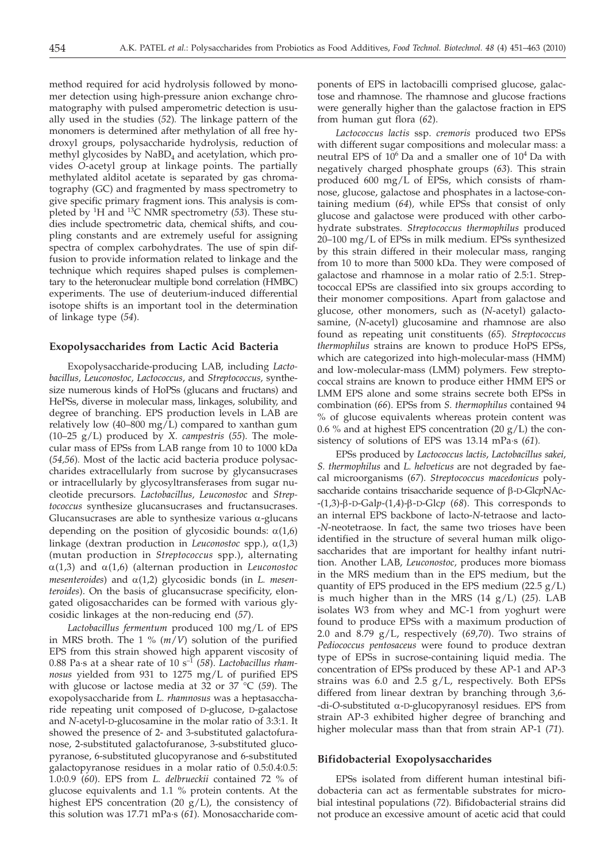method required for acid hydrolysis followed by monomer detection using high-pressure anion exchange chromatography with pulsed amperometric detection is usually used in the studies (*52*)*.* The linkage pattern of the monomers is determined after methylation of all free hydroxyl groups, polysaccharide hydrolysis, reduction of methyl glycosides by  $NaBD_4$  and acetylation, which provides *O*-acetyl group at linkage points. The partially methylated alditol acetate is separated by gas chromatography (GC) and fragmented by mass spectrometry to give specific primary fragment ions. This analysis is completed by 1H and 13C NMR spectrometry (*53*). These studies include spectrometric data, chemical shifts, and coupling constants and are extremely useful for assigning spectra of complex carbohydrates. The use of spin diffusion to provide information related to linkage and the technique which requires shaped pulses is complementary to the heteronuclear multiple bond correlation (HMBC) experiments. The use of deuterium-induced differential isotope shifts is an important tool in the determination of linkage type (*54*).

#### **Exopolysaccharides from Lactic Acid Bacteria**

Exopolysaccharide-producing LAB, including *Lactobacillus, Leuconostoc, Lactococcus*, and *Streptococcus,* synthesize numerous kinds of HoPSs (glucans and fructans) and HePSs, diverse in molecular mass, linkages, solubility, and degree of branching. EPS production levels in LAB are relatively low (40–800 mg/L) compared to xanthan gum (10–25 g/L) produced by *X. campestris* (*55*). The molecular mass of EPSs from LAB range from 10 to 1000 kDa (*54,56*)*.* Most of the lactic acid bacteria produce polysaccharides extracellularly from sucrose by glycansucrases or intracellularly by glycosyltransferases from sugar nucleotide precursors. *Lactobacillus, Leuconostoc* and *Streptococcus* synthesize glucansucrases and fructansucrases. Glucansucrases are able to synthesize various  $\alpha$ -glucans depending on the position of glycosidic bounds:  $\alpha(1,6)$ linkage (dextran production in *Leuconostoc* spp.),  $\alpha(1,3)$ (mutan production in *Streptococcus* spp.), alternating  $\alpha(1,3)$  and  $\alpha(1,6)$  (alternan production in *Leuconostoc*  $mesenteroides$  and  $\alpha(1,2)$  glycosidic bonds (in *L. mesenteroides*). On the basis of glucansucrase specificity, elongated oligosaccharides can be formed with various glycosidic linkages at the non-reducing end (*57*).

*Lactobacillus fermentum* produced 100 mg/L of EPS in MRS broth. The 1 % (*m*/*V*) solution of the purified EPS from this strain showed high apparent viscosity of 0.88 Pa·s at a shear rate of 10 s–1 (*58*). *Lactobacillus rhamnosus* yielded from 931 to 1275 mg/L of purified EPS with glucose or lactose media at 32 or 37 °C (*59*). The exopolysaccharide from *L. rhamnosus* was a heptasaccharide repeating unit composed of D-glucose, D-galactose and *N-*acetyl-D-glucosamine in the molar ratio of 3:3:1. It showed the presence of 2- and 3-substituted galactofuranose, 2-substituted galactofuranose, 3-substituted glucopyranose, 6-substituted glucopyranose and 6-substituted galactopyranose residues in a molar ratio of 0.5:0.4:0.5: 1.0:0.9 (*60*). EPS from *L. delbrueckii* contained 72 % of glucose equivalents and 1.1 % protein contents. At the highest EPS concentration (20  $g/L$ ), the consistency of this solution was 17.71 mPa·s (*61*)*.* Monosaccharide components of EPS in lactobacilli comprised glucose, galactose and rhamnose. The rhamnose and glucose fractions were generally higher than the galactose fraction in EPS from human gut flora (*62*).

*Lactococcus lactis* ssp. *cremoris* produced two EPSs with different sugar compositions and molecular mass: a neutral EPS of  $10^6$  Da and a smaller one of  $10^4$  Da with negatively charged phosphate groups (*63*). This strain produced 600 mg/L of EPSs, which consists of rhamnose, glucose, galactose and phosphates in a lactose-containing medium (*64*)*,* while EPSs that consist of only glucose and galactose were produced with other carbohydrate substrates. *Streptococcus thermophilus* produced 20–100 mg/L of EPSs in milk medium. EPSs synthesized by this strain differed in their molecular mass, ranging from 10 to more than 5000 kDa. They were composed of galactose and rhamnose in a molar ratio of 2.5:1. Streptococcal EPSs are classified into six groups according to their monomer compositions. Apart from galactose and glucose, other monomers, such as (*N*-acetyl) galactosamine, (*N*-acetyl) glucosamine and rhamnose are also found as repeating unit constituents (*65*)*. Streptococcus thermophilus* strains are known to produce HoPS EPSs, which are categorized into high-molecular-mass (HMM) and low-molecular-mass (LMM) polymers. Few streptococcal strains are known to produce either HMM EPS or LMM EPS alone and some strains secrete both EPSs in combination (*66*). EPSs from *S. thermophilus* contained 94 % of glucose equivalents whereas protein content was 0.6 % and at highest EPS concentration (20  $g/L$ ) the consistency of solutions of EPS was 13.14 mPa·s (*61*)*.*

EPSs produced by *Lactococcus lactis*, *Lactobacillus sakei*, *S. thermophilus* and *L. helveticus* are not degraded by faecal microorganisms (*67*)*. Streptococcus macedonicus* polysaccharide contains trisaccharide sequence of <sup>b</sup>-D-Glc*p*NAc- -(1,3)-b-D-Gal*p*-(1,4)-b-D-Glc*<sup>p</sup>* (*68*). This corresponds to an internal EPS backbone of lacto-*N*-tetraose and lacto- -*N*-neotetraose. In fact, the same two trioses have been identified in the structure of several human milk oligosaccharides that are important for healthy infant nutrition. Another LAB, *Leuconostoc,* produces more biomass in the MRS medium than in the EPS medium, but the quantity of EPS produced in the EPS medium  $(22.5 \text{ g/L})$ is much higher than in the MRS (14 g/L) (*25*)*.* LAB isolates W3 from whey and MC-1 from yoghurt were found to produce EPSs with a maximum production of 2.0 and 8.79 g/L, respectively (*69,70*). Two strains of *Pediococcus pentosaceus* were found to produce dextran type of EPSs in sucrose-containing liquid media. The concentration of EPSs produced by these AP-1 and AP-3 strains was 6.0 and 2.5  $g/L$ , respectively. Both EPSs differed from linear dextran by branching through 3,6- -di-*O*-substituted <sup>a</sup>-D-glucopyranosyl residues. EPS from strain AP-3 exhibited higher degree of branching and higher molecular mass than that from strain AP-1 (*71*).

#### **Bifidobacterial Exopolysaccharides**

EPSs isolated from different human intestinal bifidobacteria can act as fermentable substrates for microbial intestinal populations (*72*). Bifidobacterial strains did not produce an excessive amount of acetic acid that could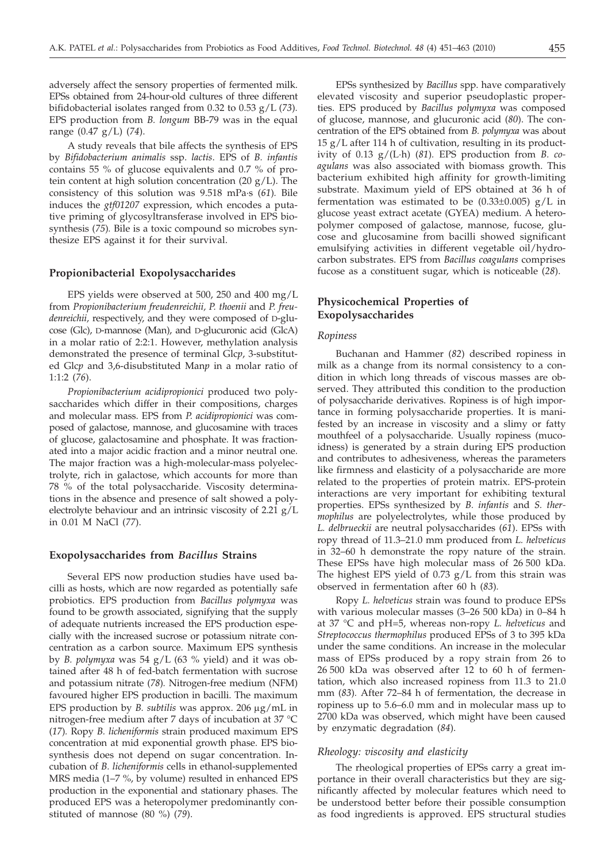adversely affect the sensory properties of fermented milk. EPSs obtained from 24-hour-old cultures of three different bifidobacterial isolates ranged from 0.32 to 0.53 g/L (*73*)*.* EPS production from *B. longum* BB-79 was in the equal range (0.47 g/L) (*74*).

A study reveals that bile affects the synthesis of EPS by *Bifidobacterium animalis* ssp. *lactis*. EPS of *B. infantis* contains 55 % of glucose equivalents and 0.7 % of protein content at high solution concentration (20  $g/L$ ). The consistency of this solution was 9.518 mPa·s (*61*)*.* Bile induces the *gtf01207* expression, which encodes a putative priming of glycosyltransferase involved in EPS biosynthesis (*75*)*.* Bile is a toxic compound so microbes synthesize EPS against it for their survival.

## **Propionibacterial Exopolysaccharides**

EPS yields were observed at 500, 250 and 400 mg/L from *Propionibacterium freudenreichii, P. thoenii* and *P. freudenreichii,* respectively, and they were composed of D-glucose (Glc), D-mannose (Man), and D-glucuronic acid (GlcA) in a molar ratio of 2:2:1. However, methylation analysis demonstrated the presence of terminal Glc*p*, 3-substituted Glc*p* and 3,6-disubstituted Man*p* in a molar ratio of 1:1:2 (*76*).

*Propionibacterium acidipropionici* produced two polysaccharides which differ in their compositions, charges and molecular mass. EPS from *P. acidipropionici* was composed of galactose, mannose, and glucosamine with traces of glucose, galactosamine and phosphate. It was fractionated into a major acidic fraction and a minor neutral one. The major fraction was a high-molecular-mass polyelectrolyte, rich in galactose, which accounts for more than 78 % of the total polysaccharide. Viscosity determinations in the absence and presence of salt showed a polyelectrolyte behaviour and an intrinsic viscosity of 2.21 g/L in 0.01 M NaCl (*77*).

## **Exopolysaccharides from** *Bacillus* **Strains**

Several EPS now production studies have used bacilli as hosts, which are now regarded as potentially safe probiotics. EPS production from *Bacillus polymyxa* was found to be growth associated, signifying that the supply of adequate nutrients increased the EPS production especially with the increased sucrose or potassium nitrate concentration as a carbon source. Maximum EPS synthesis by *B. polymyxa* was 54 g/L (63 % yield) and it was obtained after 48 h of fed-batch fermentation with sucrose and potassium nitrate (*78*)*.* Nitrogen-free medium (NFM) favoured higher EPS production in bacilli. The maximum EPS production by *B. subtilis* was approx. 206 μg/mL in nitrogen-free medium after 7 days of incubation at 37 °C (*17*)*.* Ropy *B. licheniformis* strain produced maximum EPS concentration at mid exponential growth phase. EPS biosynthesis does not depend on sugar concentration. Incubation of *B. licheniformis* cells in ethanol-supplemented MRS media (1–7 %, by volume) resulted in enhanced EPS production in the exponential and stationary phases. The produced EPS was a heteropolymer predominantly constituted of mannose (80 %) (*79*).

EPSs synthesized by *Bacillus* spp. have comparatively elevated viscosity and superior pseudoplastic properties. EPS produced by *Bacillus polymyxa* was composed of glucose, mannose, and glucuronic acid (*80*). The concentration of the EPS obtained from *B. polymyxa* was about 15 g/L after 114 h of cultivation, resulting in its productivity of 0.13 g/(L·h) (*81*)*.* EPS production from *B. coagulans* was also associated with biomass growth. This bacterium exhibited high affinity for growth-limiting substrate. Maximum yield of EPS obtained at 36 h of fermentation was estimated to be  $(0.33\pm0.005)$  g/L in glucose yeast extract acetate (GYEA) medium. A heteropolymer composed of galactose, mannose, fucose, glucose and glucosamine from bacilli showed significant emulsifying activities in different vegetable oil/hydrocarbon substrates. EPS from *Bacillus coagulans* comprises fucose as a constituent sugar, which is noticeable (*28*).

## **Physicochemical Properties of Exopolysaccharides**

## *Ropiness*

Buchanan and Hammer (*82*) described ropiness in milk as a change from its normal consistency to a condition in which long threads of viscous masses are observed. They attributed this condition to the production of polysaccharide derivatives. Ropiness is of high importance in forming polysaccharide properties. It is manifested by an increase in viscosity and a slimy or fatty mouthfeel of a polysaccharide. Usually ropiness (mucoidness) is generated by a strain during EPS production and contributes to adhesiveness, whereas the parameters like firmness and elasticity of a polysaccharide are more related to the properties of protein matrix. EPS-protein interactions are very important for exhibiting textural properties. EPSs synthesized by *B. infantis* and *S. thermophilus* are polyelectrolytes, while those produced by *L. delbrueckii* are neutral polysaccharides (*61*). EPSs with ropy thread of 11.3–21.0 mm produced from *L. helveticus* in 32–60 h demonstrate the ropy nature of the strain. These EPSs have high molecular mass of 26 500 kDa. The highest EPS yield of 0.73 g/L from this strain was observed in fermentation after 60 h (*83*)*.*

Ropy *L. helveticus* strain was found to produce EPSs with various molecular masses (3–26 500 kDa) in 0–84 h at 37 °C and pH=5, whereas non-ropy *L. helveticus* and *Streptococcus thermophilus* produced EPSs of 3 to 395 kDa under the same conditions. An increase in the molecular mass of EPSs produced by a ropy strain from 26 to 26 500 kDa was observed after 12 to 60 h of fermentation, which also increased ropiness from 11.3 to 21.0 mm (*83*)*.* After 72–84 h of fermentation, the decrease in ropiness up to 5.6–6.0 mm and in molecular mass up to 2700 kDa was observed, which might have been caused by enzymatic degradation (*84*).

#### *Rheology: viscosity and elasticity*

The rheological properties of EPSs carry a great importance in their overall characteristics but they are significantly affected by molecular features which need to be understood better before their possible consumption as food ingredients is approved. EPS structural studies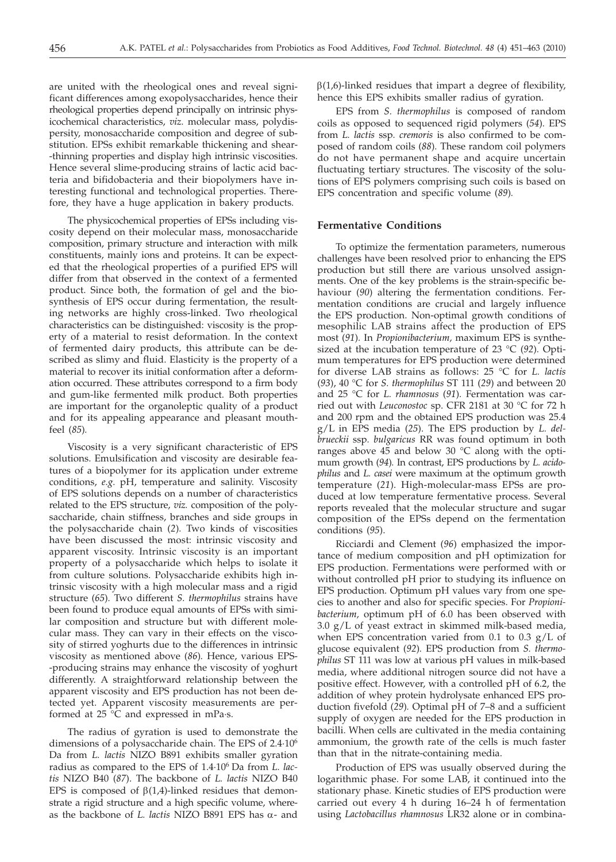are united with the rheological ones and reveal significant differences among exopolysaccharides, hence their rheological properties depend principally on intrinsic physicochemical characteristics, *viz*. molecular mass, polydispersity, monosaccharide composition and degree of substitution. EPSs exhibit remarkable thickening and shear- -thinning properties and display high intrinsic viscosities. Hence several slime-producing strains of lactic acid bacteria and bifidobacteria and their biopolymers have interesting functional and technological properties. Therefore, they have a huge application in bakery products.

The physicochemical properties of EPSs including viscosity depend on their molecular mass, monosaccharide composition, primary structure and interaction with milk constituents, mainly ions and proteins. It can be expected that the rheological properties of a purified EPS will differ from that observed in the context of a fermented product. Since both, the formation of gel and the biosynthesis of EPS occur during fermentation, the resulting networks are highly cross-linked. Two rheological characteristics can be distinguished: viscosity is the property of a material to resist deformation. In the context of fermented dairy products, this attribute can be described as slimy and fluid. Elasticity is the property of a material to recover its initial conformation after a deformation occurred. These attributes correspond to a firm body and gum-like fermented milk product. Both properties are important for the organoleptic quality of a product and for its appealing appearance and pleasant mouthfeel (*85*)*.*

Viscosity is a very significant characteristic of EPS solutions. Emulsification and viscosity are desirable features of a biopolymer for its application under extreme conditions, *e.g.* pH, temperature and salinity. Viscosity of EPS solutions depends on a number of characteristics related to the EPS structure, *viz.* composition of the polysaccharide, chain stiffness, branches and side groups in the polysaccharide chain (*2*)*.* Two kinds of viscosities have been discussed the most: intrinsic viscosity and apparent viscosity. Intrinsic viscosity is an important property of a polysaccharide which helps to isolate it from culture solutions. Polysaccharide exhibits high intrinsic viscosity with a high molecular mass and a rigid structure (*65*)*.* Two different *S. thermophilus* strains have been found to produce equal amounts of EPSs with similar composition and structure but with different molecular mass. They can vary in their effects on the viscosity of stirred yoghurts due to the differences in intrinsic viscosity as mentioned above (*86*)*.* Hence, various EPS- -producing strains may enhance the viscosity of yoghurt differently. A straightforward relationship between the apparent viscosity and EPS production has not been detected yet. Apparent viscosity measurements are performed at 25 °C and expressed in mPa·s.

The radius of gyration is used to demonstrate the dimensions of a polysaccharide chain. The EPS of 2.4·106 Da from *L. lactis* NIZO B891 exhibits smaller gyration radius as compared to the EPS of 1.4·106 Da from *L. lactis* NIZO B40 (*87*). The backbone of *L. lactis* NIZO B40 EPS is composed of  $\beta(1,4)$ -linked residues that demonstrate a rigid structure and a high specific volume, whereas the backbone of *L. lactis* NIZO B891 EPS has  $\alpha$ - and

 $\beta(1,6)$ -linked residues that impart a degree of flexibility, hence this EPS exhibits smaller radius of gyration.

EPS from *S. thermophilus* is composed of random coils as opposed to sequenced rigid polymers (*54*)*.* EPS from *L. lactis* ssp*. cremoris* is also confirmed to be composed of random coils (*88*)*.* These random coil polymers do not have permanent shape and acquire uncertain fluctuating tertiary structures. The viscosity of the solutions of EPS polymers comprising such coils is based on EPS concentration and specific volume (*89*)*.*

## **Fermentative Conditions**

To optimize the fermentation parameters, numerous challenges have been resolved prior to enhancing the EPS production but still there are various unsolved assignments. One of the key problems is the strain-specific behaviour (*90*) altering the fermentation conditions. Fermentation conditions are crucial and largely influence the EPS production. Non-optimal growth conditions of mesophilic LAB strains affect the production of EPS most (*91*)*.* In *Propionibacterium,* maximum EPS is synthesized at the incubation temperature of 23 °C (*92*)*.* Optimum temperatures for EPS production were determined for diverse LAB strains as follows: 25 °C for *L. lactis* (*93*), 40 °C for *S. thermophilus* ST 111 (*29*) and between 20 and 25 °C for *L. rhamnosus* (*91*)*.* Fermentation was carried out with *Leuconostoc* sp. CFR 2181 at 30 °C for 72 h and 200 rpm and the obtained EPS production was 25.4 g/L in EPS media (*25*). The EPS production by *L. delbrueckii* ssp*. bulgaricus* RR was found optimum in both ranges above 45 and below 30 °C along with the optimum growth (*94*)*.* In contrast, EPS productions by *L. acidophilus* and *L. casei* were maximum at the optimum growth temperature (*21*). High-molecular-mass EPSs are produced at low temperature fermentative process. Several reports revealed that the molecular structure and sugar composition of the EPSs depend on the fermentation conditions (*95*).

Ricciardi and Clement (*96*) emphasized the importance of medium composition and pH optimization for EPS production. Fermentations were performed with or without controlled pH prior to studying its influence on EPS production. Optimum pH values vary from one species to another and also for specific species. For *Propionibacterium,* optimum pH of 6.0 has been observed with 3.0 g/L of yeast extract in skimmed milk-based media, when EPS concentration varied from 0.1 to 0.3 g/L of glucose equivalent (*92*)*.* EPS production from *S. thermophilus* ST 111 was low at various pH values in milk-based .<br>media, where additional nitrogen source did not have a positive effect. However, with a controlled pH of 6.2, the addition of whey protein hydrolysate enhanced EPS production fivefold (*29*)*.* Optimal pH of 7–8 and a sufficient supply of oxygen are needed for the EPS production in bacilli. When cells are cultivated in the media containing ammonium, the growth rate of the cells is much faster than that in the nitrate-containing media.

Production of EPS was usually observed during the logarithmic phase. For some LAB, it continued into the stationary phase. Kinetic studies of EPS production were carried out every 4 h during 16–24 h of fermentation using *Lactobacillus rhamnosus* LR32 alone or in combina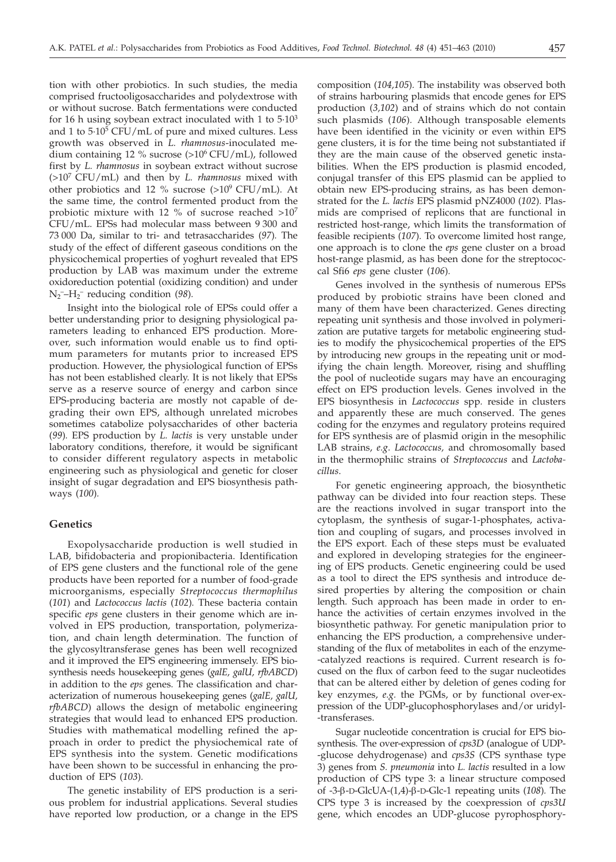tion with other probiotics. In such studies, the media comprised fructooligosaccharides and polydextrose with or without sucrose. Batch fermentations were conducted for 16 h using soybean extract inoculated with 1 to  $5.10<sup>3</sup>$ and 1 to  $5.10^5$  CFU/mL of pure and mixed cultures. Less growth was observed in *L. rhamnosus*-inoculated medium containing 12 % sucrose (>106 CFU/mL), followed first by *L. rhamnosus* in soybean extract without sucrose (>107 CFU/mL) and then by *L. rhamnosus* mixed with other probiotics and 12 % sucrose  $(>10^9 \text{ CFU/mL})$ . At the same time, the control fermented product from the probiotic mixture with 12 % of sucrose reached >10<sup>7</sup> CFU/mL. EPSs had molecular mass between 9 300 and 73 000 Da, similar to tri- and tetrasaccharides (*97*)*.* The study of the effect of different gaseous conditions on the physicochemical properties of yoghurt revealed that EPS production by LAB was maximum under the extreme oxidoreduction potential (oxidizing condition) and under N2 ––H2 – reducing condition (*98*)*.*

Insight into the biological role of EPSs could offer a better understanding prior to designing physiological parameters leading to enhanced EPS production. Moreover, such information would enable us to find optimum parameters for mutants prior to increased EPS production. However, the physiological function of EPSs has not been established clearly. It is not likely that EPSs serve as a reserve source of energy and carbon since EPS-producing bacteria are mostly not capable of degrading their own EPS, although unrelated microbes sometimes catabolize polysaccharides of other bacteria (*99*)*.* EPS production by *L. lactis* is very unstable under laboratory conditions, therefore, it would be significant to consider different regulatory aspects in metabolic engineering such as physiological and genetic for closer insight of sugar degradation and EPS biosynthesis pathways (*100*)*.*

## **Genetics**

Exopolysaccharide production is well studied in LAB, bifidobacteria and propionibacteria. Identification of EPS gene clusters and the functional role of the gene products have been reported for a number of food-grade microorganisms, especially *Streptococcus thermophilus* (*101*) and *Lactococcus lactis* (*102*)*.* These bacteria contain specific *eps* gene clusters in their genome which are involved in EPS production, transportation, polymerization, and chain length determination. The function of the glycosyltransferase genes has been well recognized and it improved the EPS engineering immensely. EPS biosynthesis needs housekeeping genes (*galE, galU, rfbABCD*) in addition to the *eps* genes. The classification and characterization of numerous housekeeping genes (*galE, galU, rfbABCD*) allows the design of metabolic engineering strategies that would lead to enhanced EPS production. Studies with mathematical modelling refined the approach in order to predict the physiochemical rate of EPS synthesis into the system. Genetic modifications have been shown to be successful in enhancing the production of EPS (*103*)*.*

The genetic instability of EPS production is a serious problem for industrial applications. Several studies have reported low production, or a change in the EPS

composition (*104,105*)*.* The instability was observed both of strains harbouring plasmids that encode genes for EPS production (*3,102*) and of strains which do not contain such plasmids (*106*)*.* Although transposable elements have been identified in the vicinity or even within EPS gene clusters, it is for the time being not substantiated if they are the main cause of the observed genetic instabilities. When the EPS production is plasmid encoded, conjugal transfer of this EPS plasmid can be applied to obtain new EPS-producing strains, as has been demonstrated for the *L. lactis* EPS plasmid pNZ4000 (*102*)*.* Plasmids are comprised of replicons that are functional in restricted host-range, which limits the transformation of feasible recipients (*107*)*.* To overcome limited host range, one approach is to clone the *eps* gene cluster on a broad host-range plasmid, as has been done for the streptococcal Sfi6 *eps* gene cluster (*106*)*.*

Genes involved in the synthesis of numerous EPSs produced by probiotic strains have been cloned and many of them have been characterized. Genes directing repeating unit synthesis and those involved in polymerization are putative targets for metabolic engineering studies to modify the physicochemical properties of the EPS by introducing new groups in the repeating unit or modifying the chain length. Moreover, rising and shuffling the pool of nucleotide sugars may have an encouraging effect on EPS production levels. Genes involved in the EPS biosynthesis in *Lactococcus* spp*.* reside in clusters and apparently these are much conserved. The genes coding for the enzymes and regulatory proteins required for EPS synthesis are of plasmid origin in the mesophilic LAB strains, *e.g*. *Lactococcus,* and chromosomally based in the thermophilic strains of *Streptococcus* and *Lactobacillus*.

For genetic engineering approach, the biosynthetic pathway can be divided into four reaction steps. These are the reactions involved in sugar transport into the cytoplasm, the synthesis of sugar-1-phosphates, activation and coupling of sugars, and processes involved in the EPS export. Each of these steps must be evaluated and explored in developing strategies for the engineering of EPS products. Genetic engineering could be used as a tool to direct the EPS synthesis and introduce desired properties by altering the composition or chain length. Such approach has been made in order to enhance the activities of certain enzymes involved in the biosynthetic pathway. For genetic manipulation prior to enhancing the EPS production, a comprehensive understanding of the flux of metabolites in each of the enzyme- -catalyzed reactions is required. Current research is focused on the flux of carbon feed to the sugar nucleotides that can be altered either by deletion of genes coding for key enzymes, *e.g.* the PGMs, or by functional over-expression of the UDP-glucophosphorylases and/or uridyl- -transferases.

Sugar nucleotide concentration is crucial for EPS biosynthesis. The over-expression of *cps3D* (analogue of UDP- -glucose dehydrogenase) and *cps3S* (CPS synthase type 3) genes from *S. pneumonia* into *L. lactis* resulted in a low production of CPS type 3: a linear structure composed of -3-b-D-GlcUA-(1,4)-b-D-Glc-1 repeating units (*108*)*.* The CPS type 3 is increased by the coexpression of *cps3U* gene, which encodes an UDP-glucose pyrophosphory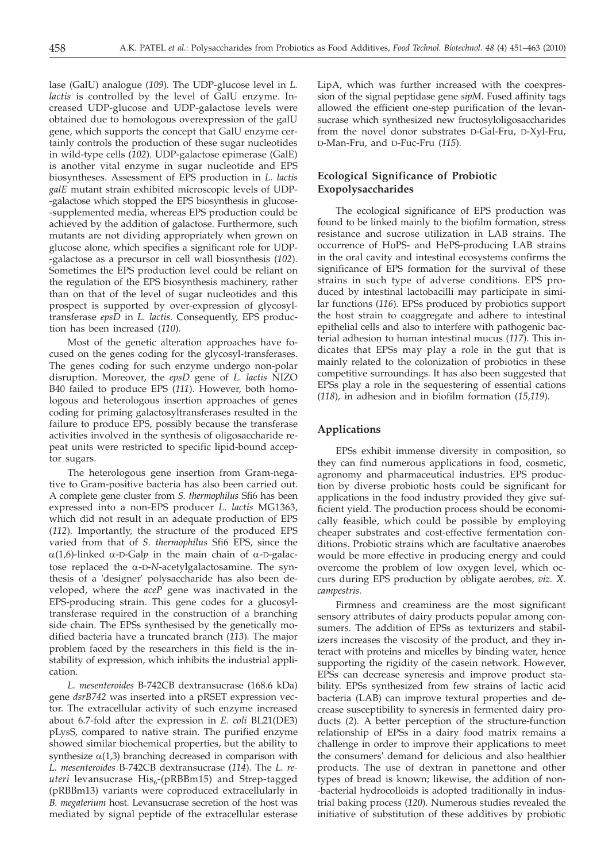lase (GalU) analogue (*109*)*.* The UDP-glucose level in *L. lactis* is controlled by the level of GalU enzyme. Increased UDP-glucose and UDP-galactose levels were obtained due to homologous overexpression of the galU gene, which supports the concept that GalU enzyme certainly controls the production of these sugar nucleotides in wild-type cells (*102*)*.* UDP-galactose epimerase (GalE) is another vital enzyme in sugar nucleotide and EPS biosyntheses. Assessment of EPS production in *L. lactis galE* mutant strain exhibited microscopic levels of UDP- -galactose which stopped the EPS biosynthesis in glucose- -supplemented media, whereas EPS production could be achieved by the addition of galactose. Furthermore, such mutants are not dividing appropriately when grown on glucose alone, which specifies a significant role for UDP- -galactose as a precursor in cell wall biosynthesis (*102*)*.* Sometimes the EPS production level could be reliant on the regulation of the EPS biosynthesis machinery, rather than on that of the level of sugar nucleotides and this prospect is supported by over-expression of glycosyltransferase *epsD* in *L. lactis.* Consequently, EPS production has been increased (*110*)*.*

Most of the genetic alteration approaches have focused on the genes coding for the glycosyl-transferases. The genes coding for such enzyme undergo non-polar disruption. Moreover, the *epsD* gene of *L. lactis* NIZO B40 failed to produce EPS (*111*)*.* However, both homologous and heterologous insertion approaches of genes coding for priming galactosyltransferases resulted in the failure to produce EPS, possibly because the transferase activities involved in the synthesis of oligosaccharide repeat units were restricted to specific lipid-bound acceptor sugars.

The heterologous gene insertion from Gram-negative to Gram-positive bacteria has also been carried out. A complete gene cluster from *S. thermophilus* Sfi6 has been expressed into a non-EPS producer *L. lactis* MG1363, which did not result in an adequate production of EPS (*112*)*.* Importantly, the structure of the produced EPS varied from that of *S. thermophilus* Sfi6 EPS, since the  $\alpha(1,6)$ -linked  $\alpha$ -D-Galp in the main chain of  $\alpha$ -D-galactose replaced the a-D-*N*-acetylgalactosamine. The synthesis of a 'designer' polysaccharide has also been developed, where the *aceP* gene was inactivated in the EPS-producing strain. This gene codes for a glucosyltransferase required in the construction of a branching side chain. The EPSs synthesised by the genetically modified bacteria have a truncated branch (*113*)*.* The major problem faced by the researchers in this field is the instability of expression, which inhibits the industrial application.

*L. mesenteroides* B-742CB dextransucrase (168.6 kDa) gene *dsrB742* was inserted into a pRSET expression vector. The extracellular activity of such enzyme increased about 6.7-fold after the expression in *E. coli* BL21(DE3) pLysS, compared to native strain. The purified enzyme showed similar biochemical properties, but the ability to synthesize  $\alpha(1,3)$  branching decreased in comparison with *L. mesenteroides* B-742CB dextransucrase (*114*)*.* The *L. re*uteri levansucrase His<sub>6</sub>-(pRBBm15) and Strep-tagged (pRBBm13) variants were coproduced extracellularly in *B. megaterium* host. Levansucrase secretion of the host was mediated by signal peptide of the extracellular esterase

LipA, which was further increased with the coexpression of the signal peptidase gene *sipM*. Fused affinity tags allowed the efficient one-step purification of the levansucrase which synthesized new fructosyloligosaccharides from the novel donor substrates D-Gal-Fru, D-Xyl-Fru, D-Man-Fru, and D-Fuc-Fru (*115*)*.*

# **Ecological Significance of Probiotic Exopolysaccharides**

The ecological significance of EPS production was found to be linked mainly to the biofilm formation, stress resistance and sucrose utilization in LAB strains. The occurrence of HoPS- and HePS-producing LAB strains in the oral cavity and intestinal ecosystems confirms the significance of EPS formation for the survival of these strains in such type of adverse conditions. EPS produced by intestinal lactobacilli may participate in similar functions (*116*)*.* EPSs produced by probiotics support the host strain to coaggregate and adhere to intestinal epithelial cells and also to interfere with pathogenic bacterial adhesion to human intestinal mucus (*117*). This indicates that EPSs may play a role in the gut that is mainly related to the colonization of probiotics in these competitive surroundings. It has also been suggested that EPSs play a role in the sequestering of essential cations (*118*)*,* in adhesion and in biofilm formation (*15,119*)*.*

## **Applications**

EPSs exhibit immense diversity in composition, so they can find numerous applications in food, cosmetic, agronomy and pharmaceutical industries. EPS production by diverse probiotic hosts could be significant for applications in the food industry provided they give sufficient yield. The production process should be economically feasible, which could be possible by employing cheaper substrates and cost-effective fermentation conditions. Probiotic strains which are facultative anaerobes would be more effective in producing energy and could overcome the problem of low oxygen level, which occurs during EPS production by obligate aerobes, *viz. X. campestris.*

Firmness and creaminess are the most significant sensory attributes of dairy products popular among consumers. The addition of EPSs as texturizers and stabilizers increases the viscosity of the product, and they interact with proteins and micelles by binding water, hence supporting the rigidity of the casein network. However, EPSs can decrease syneresis and improve product stability. EPSs synthesized from few strains of lactic acid bacteria (LAB) can improve textural properties and decrease susceptibility to syneresis in fermented dairy products (*2*)*.* A better perception of the structure-function relationship of EPSs in a dairy food matrix remains a challenge in order to improve their applications to meet the consumers' demand for delicious and also healthier products. The use of dextran in panettone and other types of bread is known; likewise, the addition of non- -bacterial hydrocolloids is adopted traditionally in industrial baking process (*120*). Numerous studies revealed the initiative of substitution of these additives by probiotic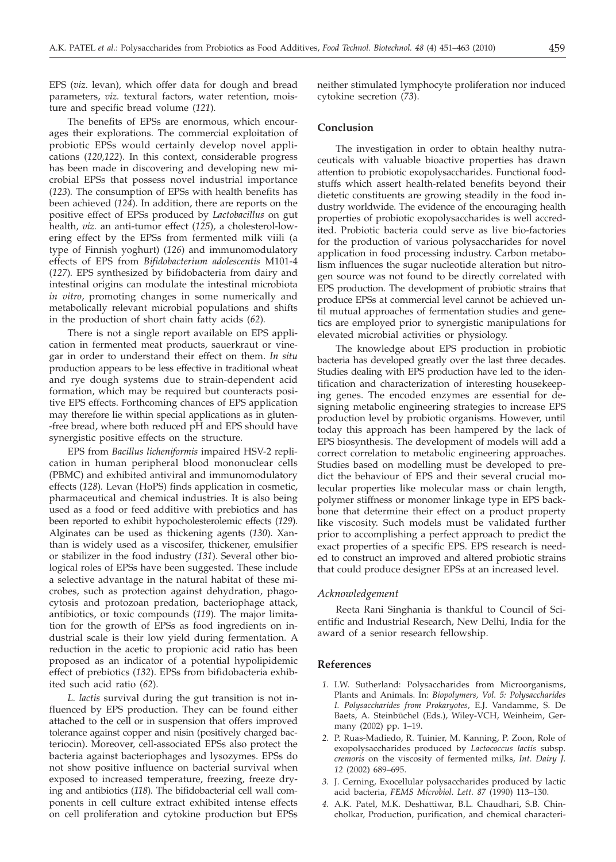EPS (*viz*. levan), which offer data for dough and bread parameters, *viz.* textural factors, water retention, moisture and specific bread volume (*121*)*.*

The benefits of EPSs are enormous, which encourages their explorations. The commercial exploitation of probiotic EPSs would certainly develop novel applications (*120,122*). In this context, considerable progress has been made in discovering and developing new microbial EPSs that possess novel industrial importance (*123*)*.* The consumption of EPSs with health benefits has been achieved (*124*)*.* In addition, there are reports on the positive effect of EPSs produced by *Lactobacillus* on gut health, *viz.* an anti-tumor effect (*125*)*,* a cholesterol-lowering effect by the EPSs from fermented milk viili (a type of Finnish yoghurt) (*126*) and immunomodulatory effects of EPS from *Bifidobacterium adolescentis* M101-4 (*127*)*.* EPS synthesized by bifidobacteria from dairy and intestinal origins can modulate the intestinal microbiota *in vitro*, promoting changes in some numerically and metabolically relevant microbial populations and shifts in the production of short chain fatty acids (*62*)*.*

There is not a single report available on EPS application in fermented meat products, sauerkraut or vinegar in order to understand their effect on them. *In situ* production appears to be less effective in traditional wheat and rye dough systems due to strain-dependent acid formation, which may be required but counteracts positive EPS effects. Forthcoming chances of EPS application may therefore lie within special applications as in gluten- -free bread, where both reduced pH and EPS should have synergistic positive effects on the structure.

EPS from *Bacillus licheniformis* impaired HSV-2 replication in human peripheral blood mononuclear cells (PBMC) and exhibited antiviral and immunomodulatory effects (*128*)*.* Levan (HoPS) finds application in cosmetic, pharmaceutical and chemical industries. It is also being used as a food or feed additive with prebiotics and has been reported to exhibit hypocholesterolemic effects (*129*)*.* Alginates can be used as thickening agents (*130*)*.* Xanthan is widely used as a viscosifer, thickener, emulsifier or stabilizer in the food industry (*131*)*.* Several other biological roles of EPSs have been suggested. These include a selective advantage in the natural habitat of these microbes, such as protection against dehydration, phagocytosis and protozoan predation, bacteriophage attack, antibiotics, or toxic compounds (*119*)*.* The major limitation for the growth of EPSs as food ingredients on industrial scale is their low yield during fermentation. A reduction in the acetic to propionic acid ratio has been proposed as an indicator of a potential hypolipidemic effect of prebiotics (*132*). EPSs from bifidobacteria exhibited such acid ratio (*62*).

*L. lactis* survival during the gut transition is not influenced by EPS production. They can be found either attached to the cell or in suspension that offers improved tolerance against copper and nisin (positively charged bacteriocin). Moreover, cell-associated EPSs also protect the bacteria against bacteriophages and lysozymes. EPSs do not show positive influence on bacterial survival when exposed to increased temperature, freezing, freeze drying and antibiotics (*118*)*.* The bifidobacterial cell wall components in cell culture extract exhibited intense effects on cell proliferation and cytokine production but EPSs

neither stimulated lymphocyte proliferation nor induced cytokine secretion (*73*).

## **Conclusion**

The investigation in order to obtain healthy nutraceuticals with valuable bioactive properties has drawn attention to probiotic exopolysaccharides. Functional foodstuffs which assert health-related benefits beyond their dietetic constituents are growing steadily in the food industry worldwide. The evidence of the encouraging health properties of probiotic exopolysaccharides is well accredited. Probiotic bacteria could serve as live bio-factories for the production of various polysaccharides for novel application in food processing industry. Carbon metabolism influences the sugar nucleotide alteration but nitrogen source was not found to be directly correlated with EPS production. The development of probiotic strains that produce EPSs at commercial level cannot be achieved until mutual approaches of fermentation studies and genetics are employed prior to synergistic manipulations for elevated microbial activities or physiology.

The knowledge about EPS production in probiotic bacteria has developed greatly over the last three decades. Studies dealing with EPS production have led to the identification and characterization of interesting housekeeping genes. The encoded enzymes are essential for designing metabolic engineering strategies to increase EPS production level by probiotic organisms. However, until today this approach has been hampered by the lack of EPS biosynthesis. The development of models will add a correct correlation to metabolic engineering approaches. Studies based on modelling must be developed to predict the behaviour of EPS and their several crucial molecular properties like molecular mass or chain length, polymer stiffness or monomer linkage type in EPS backbone that determine their effect on a product property like viscosity. Such models must be validated further prior to accomplishing a perfect approach to predict the exact properties of a specific EPS. EPS research is needed to construct an improved and altered probiotic strains that could produce designer EPSs at an increased level.

#### *Acknowledgement*

Reeta Rani Singhania is thankful to Council of Scientific and Industrial Research, New Delhi, India for the award of a senior research fellowship.

## **References**

- *1.* I.W. Sutherland: Polysaccharides from Microorganisms, Plants and Animals. In: *Biopolymers, Vol. 5: Polysaccharides I. Polysaccharides from Prokaryotes,* E.J. Vandamme, S. De Baets, A. Steinbüchel (Eds.), Wiley-VCH, Weinheim, Germany (2002) pp. 1–19.
- *2.* P. Ruas-Madiedo, R. Tuinier, M. Kanning, P. Zoon, Role of exopolysaccharides produced by *Lactococcus lactis* subsp*. cremoris* on the viscosity of fermented milks, *Int. Dairy J. 12* (2002) 689–695.
- *3.* J. Cerning, Exocellular polysaccharides produced by lactic acid bacteria, *FEMS Microbiol. Lett. 87* (1990) 113–130.
- *4.* A.K. Patel, M.K. Deshattiwar, B.L. Chaudhari, S.B. Chincholkar, Production, purification, and chemical characteri-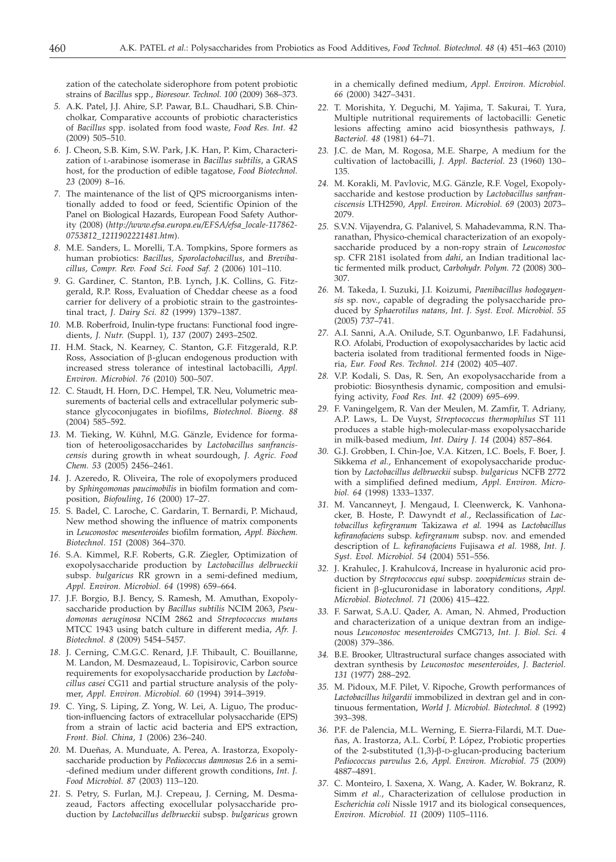zation of the catecholate siderophore from potent probiotic strains of *Bacillus* spp., *Bioresour. Technol. 100* (2009) 368–373.

- *5.* A.K. Patel, J.J. Ahire, S.P. Pawar, B.L. Chaudhari, S.B. Chincholkar, Comparative accounts of probiotic characteristics of *Bacillus* spp. isolated from food waste, *Food Res. Int. 42* (2009) 505–510.
- *6.* J. Cheon, S.B. Kim, S.W. Park, J.K. Han, P. Kim, Characterization of L-arabinose isomerase in *Bacillus subtilis*, a GRAS host, for the production of edible tagatose, *Food Biotechnol. 23* (2009) 8–16.
- *7.* The maintenance of the list of QPS microorganisms intentionally added to food or feed, Scientific Opinion of the Panel on Biological Hazards, European Food Safety Authority (2008) (*http://www.efsa.europa.eu/EFSA/efsa\_locale-117862- 0753812\_1211902221481.htm*).
- *8.* M.E. Sanders, L. Morelli, T.A. Tompkins, Spore formers as human probiotics: *Bacillus, Sporolactobacillus*, and *Brevibacillus*, *Compr. Rev. Food Sci. Food Saf. 2* (2006) 101–110.
- *9.* G. Gardiner, C. Stanton, P.B. Lynch, J.K. Collins, G. Fitzgerald, R.P. Ross, Evaluation of Cheddar cheese as a food carrier for delivery of a probiotic strain to the gastrointestinal tract, *J. Dairy Sci. 82* (1999) 1379–1387.
- *10.* M.B. Roberfroid, Inulin-type fructans: Functional food ingredients, *J. Nutr.* (Suppl. 1), *137* (2007) 2493–2502.
- *11.* H.M. Stack, N. Kearney, C. Stanton, G.F. Fitzgerald, R.P. Ross, Association of  $\beta$ -glucan endogenous production with increased stress tolerance of intestinal lactobacilli, *Appl. Environ. Microbiol. 76* (2010) 500–507.
- *12.* C. Staudt, H. Horn, D.C. Hempel, T.R. Neu, Volumetric measurements of bacterial cells and extracellular polymeric substance glycoconjugates in biofilms, *Biotechnol. Bioeng. 88* (2004) 585–592.
- *13.* M. Tieking, W. Kühnl, M.G. Gänzle, Evidence for formation of heterooligosaccharides by *Lactobacillus sanfranciscensis* during growth in wheat sourdough, *J. Agric. Food Chem. 53* (2005) 2456–2461.
- *14.* J. Azeredo, R. Oliveira, The role of exopolymers produced by *Sphingomonas paucimobilis* in biofilm formation and composition, *Biofouling*, *16* (2000) 17–27.
- *15.* S. Badel, C. Laroche, C. Gardarin, T. Bernardi, P. Michaud, New method showing the influence of matrix components in *Leuconostoc mesenteroides* biofilm formation, *Appl. Biochem. Biotechnol*. *151* (2008) 364–370.
- *16.* S.A. Kimmel, R.F. Roberts, G.R. Ziegler, Optimization of exopolysaccharide production by *Lactobacillus delbrueckii* subsp. *bulgaricus* RR grown in a semi-defined medium, *Appl. Environ. Microbiol. 64* (1998) 659–664.
- *17.* J.F. Borgio, B.J. Bency, S. Ramesh, M. Amuthan, Exopolysaccharide production by *Bacillus subtilis* NCIM 2063, *Pseudomonas aeruginosa* NCIM 2862 and *Streptococcus mutans* MTCC 1943 using batch culture in different media, *Afr. J. Biotechnol. 8* (2009) 5454–5457.
- *18.* J. Cerning, C.M.G.C. Renard, J.F. Thibault, C. Bouillanne, M. Landon, M. Desmazeaud, L. Topisirovic, Carbon source requirements for exopolysaccharide production by *Lactobacillus casei* CG11 and partial structure analysis of the polymer, *Appl. Environ. Microbiol. 60* (1994) 3914–3919.
- *19.* C. Ying, S. Liping, Z. Yong, W. Lei, A. Liguo, The production-influencing factors of extracellular polysaccharide (EPS) from a strain of lactic acid bacteria and EPS extraction, *Front. Biol. China*, *1* (2006) 236–240.
- *20.* M. Dueñas, A. Munduate, A. Perea, A. Irastorza, Exopolysaccharide production by *Pediococcus damnosus* 2.6 in a semi- -defined medium under different growth conditions, *Int. J. Food Microbiol. 87* (2003) 113–120.
- *21.* S. Petry, S. Furlan, M.J. Crepeau, J. Cerning, M. Desmazeaud, Factors affecting exocellular polysaccharide production by *Lactobacillus delbrueckii* subsp. *bulgaricus* grown

in a chemically defined medium, *Appl. Environ. Microbiol. 66* (2000) 3427–3431.

- *22.* T. Morishita, Y. Deguchi, M. Yajima, T. Sakurai, T. Yura, Multiple nutritional requirements of lactobacilli: Genetic lesions affecting amino acid biosynthesis pathways, *J. Bacteriol. 48* (1981) 64–71.
- *23.* J.C. de Man, M. Rogosa, M.E. Sharpe, A medium for the cultivation of lactobacilli, *J. Appl. Bacteriol. 23* (1960) 130– 135.
- *24.* M. Korakli, M. Pavlovic, M.G. Gänzle, R.F. Vogel, Exopolysaccharide and kestose production by *Lactobacillus sanfranciscensis* LTH2590, *Appl. Environ. Microbiol. 69* (2003) 2073– 2079.
- *25.* S.V.N. Vijayendra, G. Palanivel, S. Mahadevamma, R.N. Tharanathan, Physico-chemical characterization of an exopolysaccharide produced by a non-ropy strain of *Leuconostoc* sp*.* CFR 2181 isolated from *dahi*, an Indian traditional lactic fermented milk product, *Carbohydr. Polym. 72* (2008) 300– 307.
- *26.* M. Takeda, I. Suzuki, J.I. Koizumi, *Paenibacillus hodogayensis* sp. nov., capable of degrading the polysaccharide produced by *Sphaerotilus natans, Int. J. Syst. Evol. Microbiol. 55* (2005) 737–741.
- *27.* A.I. Sanni, A.A. Onilude, S.T. Ogunbanwo, I.F. Fadahunsi, R.O. Afolabi, Production of exopolysaccharides by lactic acid bacteria isolated from traditional fermented foods in Nigeria, *Eur. Food Res. Technol. 214* (2002) 405–407.
- *28.* V.P. Kodali, S. Das, R. Sen, An exopolysaccharide from a probiotic: Biosynthesis dynamic, composition and emulsifying activity, *Food Res. Int. 42* (2009) 695–699.
- *29.* F. Vaningelgem, R. Van der Meulen, M. Zamfir, T. Adriany, A.P. Laws, L. De Vuyst, *Streptococcus thermophilus* ST 111 produces a stable high-molecular-mass exopolysaccharide in milk-based medium, *Int. Dairy J. 14* (2004) 857–864.
- *30.* G.J. Grobben, I. Chin-Joe, V.A. Kitzen, I.C. Boels, F. Boer, J. Sikkema *et al.*, Enhancement of exopolysaccharide production by *Lactobacillus delbrueckii* subsp. *bulgaricus* NCFB 2772 with a simplified defined medium, *Appl. Environ. Microbiol. 64* (1998) 1333–1337.
- *31.* M. Vancanneyt, J. Mengaud, I. Cleenwerck, K. Vanhonacker, B. Hoste, P. Dawyndt *et al.*, Reclassification of *Lactobacillus kefirgranum* Takizawa *et al.* 1994 as *Lactobacillus kefiranofaciens* subsp. *kefirgranum* subsp. nov. and emended description of *L. kefiranofaciens* Fujisawa *et al.* 1988, *Int. J. Syst. Evol. Microbiol. 54* (2004) 551–556.
- *32.* J. Krahulec, J. Krahulcová, Increase in hyaluronic acid production by *Streptococcus equi* subsp. *zooepidemicus* strain deficient in b-glucuronidase in laboratory conditions, *Appl. Microbiol. Biotechnol. 71* (2006) 415–422.
- *33.* F. Sarwat, S.A.U. Qader, A. Aman, N. Ahmed, Production and characterization of a unique dextran from an indigenous *Leuconostoc mesenteroides* CMG713, *Int. J. Biol. Sci. 4* (2008) 379–386.
- *34.* B.E. Brooker, Ultrastructural surface changes associated with dextran synthesis by *Leuconostoc mesenteroides, J. Bacteriol. 131* (1977) 288–292.
- *35.* M. Pidoux, M.F. Pilet, V. Ripoche, Growth performances of *Lactobacillus hilgardii* immobilized in dextran gel and in continuous fermentation, *World J. Microbiol. Biotechnol. 8* (1992) 393–398.
- *36.* P.F. de Palencia, M.L. Werning, E. Sierra-Filardi, M.T. Dueñas, A. Irastorza, A.L. Corbí, P. López, Probiotic properties of the 2-substituted  $(1,3)$ - $\beta$ -D-glucan-producing bacterium *Pediococcus parvulus* 2.6, *Appl. Environ. Microbiol. 75* (2009) 4887–4891.
- *37.* C. Monteiro, I. Saxena, X. Wang, A. Kader, W. Bokranz, R. Simm *et al.*, Characterization of cellulose production in *Escherichia coli* Nissle 1917 and its biological consequences, *Environ. Microbiol. 11* (2009) 1105–1116.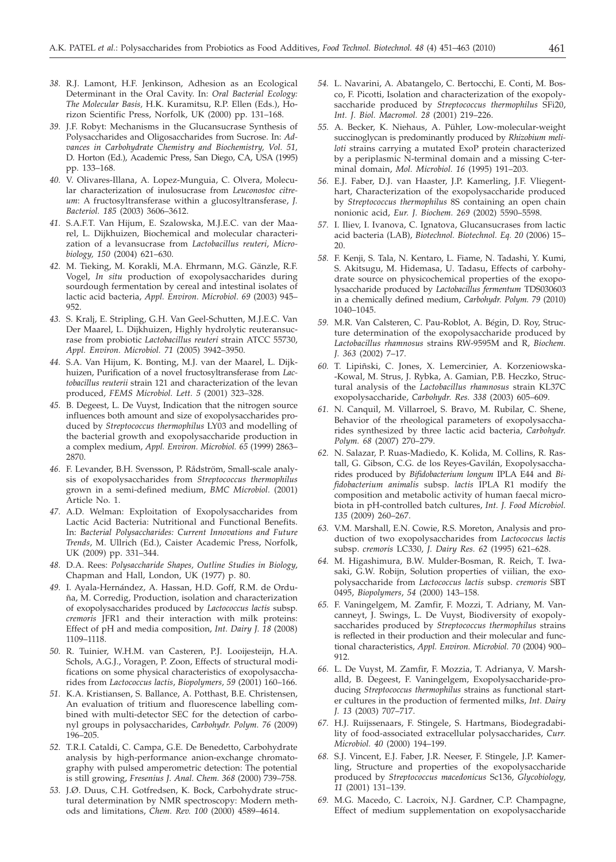- *38.* R.J. Lamont, H.F. Jenkinson, Adhesion as an Ecological Determinant in the Oral Cavity. In: *Oral Bacterial Ecology: The Molecular Basis,* H.K. Kuramitsu, R.P. Ellen (Eds.), Horizon Scientific Press, Norfolk, UK (2000) pp. 131–168.
- *39.* J.F. Robyt: Mechanisms in the Glucansucrase Synthesis of Polysaccharides and Oligosaccharides from Sucrose. In: *Advances in Carbohydrate Chemistry and Biochemistry, Vol. 51,* D. Horton (Ed.), Academic Press, San Diego, CA, USA (1995) pp. 133–168.
- *40.* V. Olivares-Illana, A. Lopez-Munguia, C. Olvera, Molecular characterization of inulosucrase from *Leuconostoc citreum*: A fructosyltransferase within a glucosyltransferase, *J. Bacteriol. 185* (2003) 3606–3612.
- *41.* S.A.F.T. Van Hijum, E. Szalowska, M.J.E.C. van der Maarel, L. Dijkhuizen, Biochemical and molecular characterization of a levansucrase from *Lactobacillus reuteri*, *Microbiology, 150* (2004) 621–630.
- *42.* M. Tieking, M. Korakli, M.A. Ehrmann, M.G. Gänzle, R.F. Vogel, *In situ* production of exopolysaccharides during sourdough fermentation by cereal and intestinal isolates of lactic acid bacteria, *Appl. Environ. Microbiol. 69* (2003) 945– 952.
- *43.* S. Kralj, E. Stripling, G.H. Van Geel-Schutten, M.J.E.C. Van Der Maarel, L. Dijkhuizen, Highly hydrolytic reuteransucrase from probiotic *Lactobacillus reuteri* strain ATCC 55730, *Appl. Environ. Microbiol. 71* (2005) 3942–3950.
- *44.* S.A. Van Hijum, K. Bonting, M.J. van der Maarel, L. Dijkhuizen, Purification of a novel fructosyltransferase from *Lactobacillus reuterii* strain 121 and characterization of the levan produced, *FEMS Microbiol. Lett. 5* (2001) 323–328.
- *45.* B. Degeest, L. De Vuyst, Indication that the nitrogen source influences both amount and size of exopolysaccharides produced by *Streptococcus thermophilus* LY03 and modelling of the bacterial growth and exopolysaccharide production in a complex medium, *Appl. Environ. Microbiol. 65* (1999) 2863– 2870.
- *46.* F. Levander, B.H. Svensson, P. Rådström, Small-scale analysis of exopolysaccharides from *Streptococcus thermophilus* grown in a semi-defined medium, *BMC Microbiol.* (2001) Article No. 1.
- *47.* A.D. Welman: Exploitation of Exopolysaccharides from Lactic Acid Bacteria: Nutritional and Functional Benefits. In: *Bacterial Polysaccharides: Current Innovations and Future Trends*, M. Ullrich (Ed.), Caister Academic Press, Norfolk, UK (2009) pp. 331–344.
- *48.* D.A. Rees: *Polysaccharide Shapes, Outline Studies in Biology*, Chapman and Hall, London, UK (1977) p. 80.
- *49.* I. Ayala-Hernández, A. Hassan, H.D. Goff, R.M. de Orduña, M. Corredig, Production, isolation and characterization of exopolysaccharides produced by *Lactococcus lactis* subsp*. cremoris* JFR1 and their interaction with milk proteins: Effect of pH and media composition, *Int. Dairy J. 18* (2008) 1109–1118.
- *50.* R. Tuinier, W.H.M. van Casteren, P.J. Looijesteijn, H.A. Schols, A.G.J., Voragen, P. Zoon, Effects of structural modifications on some physical characteristics of exopolysaccharides from *Lactococcus lactis*, *Biopolymers, 59* (2001) 160–166.
- *51.* K.A. Kristiansen, S. Ballance, A. Potthast, B.E. Christensen, An evaluation of tritium and fluorescence labelling combined with multi-detector SEC for the detection of carbonyl groups in polysaccharides, *Carbohydr. Polym. 76* (2009) 196–205.
- *52.* T.R.I. Cataldi, C. Campa, G.E. De Benedetto, Carbohydrate analysis by high-performance anion-exchange chromatography with pulsed amperometric detection: The potential is still growing, *Fresenius J. Anal. Chem. 368* (2000) 739–758.
- *53.* J.Ø. Duus, C.H. Gotfredsen, K. Bock, Carbohydrate structural determination by NMR spectroscopy: Modern methods and limitations, *Chem. Rev. 100* (2000) 4589–4614.
- *54.* L. Navarini, A. Abatangelo, C. Bertocchi, E. Conti, M. Bosco, F. Picotti, Isolation and characterization of the exopolysaccharide produced by *Streptococcus thermophilus* SFi20, *Int. J. Biol. Macromol. 28* (2001) 219–226.
- *55.* A. Becker, K. Niehaus, A. Pühler, Low-molecular-weight succinoglycan is predominantly produced by *Rhizobium meliloti* strains carrying a mutated ExoP protein characterized by a periplasmic N-terminal domain and a missing C-terminal domain, *Mol. Microbiol. 16* (1995) 191–203.
- *56.* E.J. Faber, D.J. van Haaster, J.P. Kamerling, J.F. Vliegenthart, Characterization of the exopolysaccharide produced by *Streptococcus thermophilus* 8S containing an open chain nonionic acid, *Eur. J. Biochem. 269* (2002) 5590–5598.
- *57.* I. Iliev, I. Ivanova, C. Ignatova, Glucansucrases from lactic acid bacteria (LAB), *Biotechnol. Biotechnol. Eq. 20* (2006) 15– 20.
- *58.* F. Kenji, S. Tala, N. Kentaro, L. Fiame, N. Tadashi, Y. Kumi, S. Akitsugu, M. Hidemasa, U. Tadasu, Effects of carbohydrate source on physicochemical properties of the exopolysaccharide produced by *Lactobacillus fermentum* TDS030603 in a chemically defined medium, *Carbohydr. Polym. 79* (2010) 1040–1045.
- *59.* M.R. Van Calsteren, C. Pau-Roblot, A. Bégin, D. Roy, Structure determination of the exopolysaccharide produced by *Lactobacillus rhamnosus* strains RW-9595M and R, *Biochem. J. 363* (2002) 7–17.
- *60.* T. Lipiñski, C. Jones, X. Lemercinier, A. Korzeniowska- -Kowal, M. Strus, J. Rybka, A. Gamian, P.B. Heczko, Structural analysis of the *Lactobacillus rhamnosus* strain KL37C exopolysaccharide, *Carbohydr. Res. 338* (2003) 605–609.
- *61.* N. Canquil, M. Villarroel, S. Bravo, M. Rubilar, C. Shene, Behavior of the rheological parameters of exopolysaccharides synthesized by three lactic acid bacteria, *Carbohydr. Polym. 68* (2007) 270–279.
- *62.* N. Salazar, P. Ruas-Madiedo, K. Kolida, M. Collins, R. Rastall, G. Gibson, C.G. de los Reyes-Gavilán, Exopolysaccharides produced by *Bifidobacterium longum* IPLA E44 and *Bifidobacterium animalis* subsp. *lactis* IPLA R1 modify the composition and metabolic activity of human faecal microbiota in pH-controlled batch cultures, *Int. J. Food Microbiol. 135* (2009) 260–267.
- *63.* V.M. Marshall, E.N. Cowie, R.S. Moreton, Analysis and production of two exopolysaccharides from *Lactococcus lactis* subsp. *cremoris* LC330, *J. Dairy Res. 62* (1995) 621–628.
- *64.* M. Higashimura, B.W. Mulder-Bosman, R. Reich, T. Iwasaki, G.W. Robijn, Solution properties of viilian, the exopolysaccharide from *Lactococcus lactis* subsp. *cremoris* SBT 0495, *Biopolymers*, *54* (2000) 143–158.
- *65.* F. Vaningelgem, M. Zamfir, F. Mozzi, T. Adriany, M. Vancanneyt, J. Swings, L. De Vuyst, Biodiversity of exopolysaccharides produced by *Streptococcus thermophilus* strains is reflected in their production and their molecular and functional characteristics, *Appl. Environ. Microbiol. 70* (2004) 900– 912.
- *66.* L. De Vuyst, M. Zamfir, F. Mozzia, T. Adrianya, V. Marshalld, B. Degeest, F. Vaningelgem, Exopolysaccharide-producing *Streptococcus thermophilus* strains as functional starter cultures in the production of fermented milks, *Int. Dairy J. 13* (2003) 707–717.
- *67.* H.J. Ruijssenaars, F. Stingele, S. Hartmans, Biodegradability of food-associated extracellular polysaccharides, *Curr. Microbiol. 40* (2000) 194–199.
- *68.* S.J. Vincent, E.J. Faber, J.R. Neeser, F. Stingele, J.P. Kamerling, Structure and properties of the exopolysaccharide produced by *Streptococcus macedonicus* Sc136, *Glycobiology, 11* (2001) 131–139.
- *69.* M.G. Macedo, C. Lacroix, N.J. Gardner, C.P. Champagne, Effect of medium supplementation on exopolysaccharide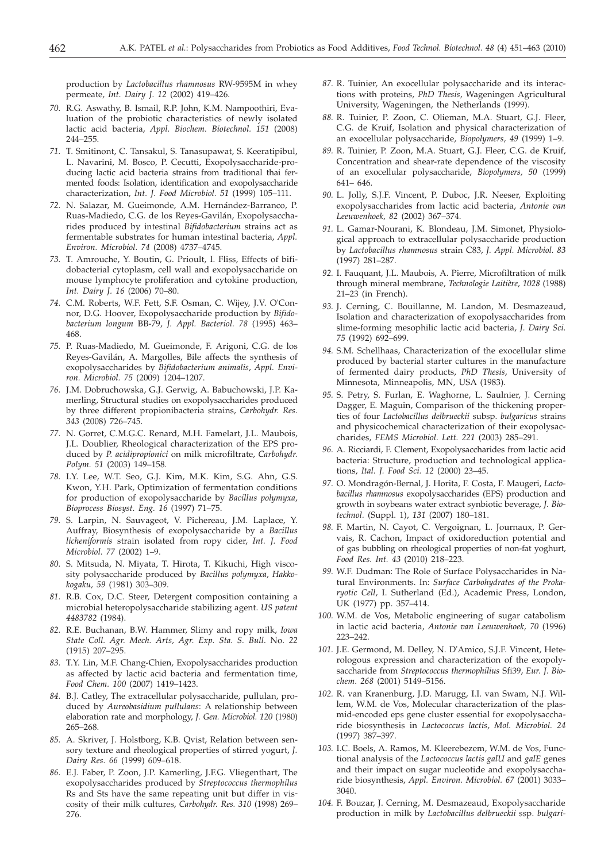production by *Lactobacillus rhamnosus* RW-9595M in whey permeate, *Int. Dairy J. 12* (2002) 419–426.

- *70.* R.G. Aswathy, B. Ismail, R.P. John, K.M. Nampoothiri, Evaluation of the probiotic characteristics of newly isolated lactic acid bacteria, *Appl. Biochem. Biotechnol. 151* (2008) 244–255.
- *71.* T. Smitinont, C. Tansakul, S. Tanasupawat, S. Keeratipibul, L. Navarini, M. Bosco, P. Cecutti, Exopolysaccharide-producing lactic acid bacteria strains from traditional thai fermented foods: Isolation, identification and exopolysaccharide characterization, *Int. J. Food Microbiol. 51* (1999) 105–111.
- *72.* N. Salazar, M. Gueimonde, A.M. Hernández-Barranco, P. Ruas-Madiedo, C.G. de los Reyes-Gavilán, Exopolysaccharides produced by intestinal *Bifidobacterium* strains act as fermentable substrates for human intestinal bacteria, *Appl. Environ. Microbiol. 74* (2008) 4737–4745.
- *73.* T. Amrouche, Y. Boutin, G. Prioult, I. Fliss, Effects of bifidobacterial cytoplasm, cell wall and exopolysaccharide on mouse lymphocyte proliferation and cytokine production, *Int. Dairy J. 16* (2006) 70–80.
- *74.* C.M. Roberts, W.F. Fett, S.F. Osman, C. Wijey, J.V. O'Connor, D.G. Hoover, Exopolysaccharide production by *Bifidobacterium longum* BB-79, *J. Appl. Bacteriol. 78* (1995) 463– 468.
- *75.* P. Ruas-Madiedo, M. Gueimonde, F. Arigoni, C.G. de los Reyes-Gavilán, A. Margolles, Bile affects the synthesis of exopolysaccharides by *Bifidobacterium animalis*, *Appl. Environ. Microbiol. 75* (2009) 1204–1207.
- *76.* J.M. Dobruchowska, G.J. Gerwig, A. Babuchowski, J.P. Kamerling, Structural studies on exopolysaccharides produced by three different propionibacteria strains, *Carbohydr. Res. 343* (2008) 726–745.
- *77.* N. Gorret, C.M.G.C. Renard, M.H. Famelart, J.L. Maubois, J.L. Doublier, Rheological characterization of the EPS produced by *P. acidipropionici* on milk microfiltrate, *Carbohydr. Polym. 51* (2003) 149–158.
- *78.* I.Y. Lee, W.T. Seo, G.J. Kim, M.K. Kim, S.G. Ahn, G.S. Kwon, Y.H. Park, Optimization of fermentation conditions for production of exopolysaccharide by *Bacillus polymyxa*, *Bioprocess Biosyst. Eng. 16* (1997) 71–75.
- *79.* S. Larpin, N. Sauvageot, V. Pichereau, J.M. Laplace, Y. Auffray, Biosynthesis of exopolysaccharide by a *Bacillus licheniformis* strain isolated from ropy cider, *Int. J. Food Microbiol. 77* (2002) 1–9.
- *80.* S. Mitsuda, N. Miyata, T. Hirota, T. Kikuchi, High viscosity polysaccharide produced by *Bacillus polymyxa*, *Hakkokogaku, 59* (1981) 303–309.
- *81.* R.B. Cox, D.C. Steer, Detergent composition containing a microbial heteropolysaccharide stabilizing agent. *US patent 4483782* (1984).
- *82.* R.E. Buchanan, B.W. Hammer, Slimy and ropy milk, *Iowa State Coll. Agr. Mech. Arts, Agr. Exp. Sta. S. Bull*. No. *22* (1915) 207–295.
- *83.* T.Y. Lin, M.F. Chang-Chien, Exopolysaccharides production as affected by lactic acid bacteria and fermentation time, *Food Chem. 100* (2007) 1419–1423.
- *84.* B.J. Catley, The extracellular polysaccharide, pullulan, produced by *Aureobasidium pullulans*: A relationship between elaboration rate and morphology, *J. Gen. Microbiol. 120* (1980) 265–268.
- *85.* A. Skriver, J. Holstborg, K.B. Qvist, Relation between sensory texture and rheological properties of stirred yogurt, *J. Dairy Res. 66* (1999) 609–618.
- *86.* E.J. Faber, P. Zoon, J.P. Kamerling, J.F.G. Vliegenthart, The exopolysaccharides produced by *Streptococcus thermophilus* Rs and Sts have the same repeating unit but differ in viscosity of their milk cultures, *Carbohydr. Res. 310* (1998) 269– 276.
- *87.* R. Tuinier, An exocellular polysaccharide and its interactions with proteins, *PhD Thesis*, Wageningen Agricultural University, Wageningen, the Netherlands (1999).
- *88.* R. Tuinier, P. Zoon, C. Olieman, M.A. Stuart, G.J. Fleer, C.G. de Kruif, Isolation and physical characterization of an exocellular polysaccharide, *Biopolymers, 49* (1999) 1–9.
- *89.* R. Tuinier, P. Zoon, M.A. Stuart, G.J. Fleer, C.G. de Kruif, Concentration and shear-rate dependence of the viscosity of an exocellular polysaccharide, *Biopolymers, 50* (1999) 641– 646.
- *90.* L. Jolly, S.J.F. Vincent, P. Duboc, J.R. Neeser, Exploiting exopolysaccharides from lactic acid bacteria, *Antonie van Leeuwenhoek, 82* (2002) 367–374.
- *91.* L. Gamar-Nourani, K. Blondeau, J.M. Simonet, Physiological approach to extracellular polysaccharide production by *Lactobacillus rhamnosus* strain C83, *J. Appl. Microbiol. 83* (1997) 281–287.
- *92.* I. Fauquant, J.L. Maubois, A. Pierre, Microfiltration of milk through mineral membrane, *Technologie Laitière*, *1028* (1988) 21–23 (in French).
- *93.* J. Cerning, C. Bouillanne, M. Landon, M. Desmazeaud, Isolation and characterization of exopolysaccharides from slime-forming mesophilic lactic acid bacteria, *J. Dairy Sci. 75* (1992) 692–699.
- *94.* S.M. Schellhaas, Characterization of the exocellular slime produced by bacterial starter cultures in the manufacture of fermented dairy products, *PhD Thesis*, University of Minnesota, Minneapolis, MN, USA (1983).
- *95.* S. Petry, S. Furlan, E. Waghorne, L. Saulnier, J. Cerning Dagger, E. Maguin, Comparison of the thickening properties of four *Lactobacillus delbrueckii* subsp. *bulgaricus* strains and physicochemical characterization of their exopolysaccharides, *FEMS Microbiol. Lett. 221* (2003) 285–291.
- *96.* A. Ricciardi, F. Clement, Exopolysaccharides from lactic acid bacteria: Structure, production and technological applications, *Ital. J. Food Sci. 12* (2000) 23–45.
- *97.* O. Mondragón-Bernal, J. Horita, F. Costa, F. Maugeri, *Lactobacillus rhamnosus* exopolysaccharides (EPS) production and growth in soybeans water extract synbiotic beverage, *J. Biotechnol.* (Suppl. 1), *131* (2007) 180–181.
- *98.* F. Martin, N. Cayot, C. Vergoignan, L. Journaux, P. Gervais, R. Cachon, Impact of oxidoreduction potential and of gas bubbling on rheological properties of non-fat yoghurt, *Food Res. Int. 43* (2010) 218–223.
- *99.* W.F. Dudman: The Role of Surface Polysaccharides in Natural Environments. In: *Surface Carbohydrates of the Prokaryotic Cell*, I. Sutherland (Ed.), Academic Press, London, UK (1977) pp. 357–414.
- *100.* W.M. de Vos, Metabolic engineering of sugar catabolism in lactic acid bacteria, *Antonie van Leeuwenhoek, 70* (1996) 223–242.
- *101.* J.E. Germond, M. Delley, N. D'Amico, S.J.F. Vincent, Heterologous expression and characterization of the exopolysaccharide from *Streptococcus thermophilius* Sfi39, *Eur. J. Biochem*. *268* (2001) 5149–5156.
- *102.* R. van Kranenburg, J.D. Marugg, I.I. van Swam, N.J. Willem, W.M. de Vos, Molecular characterization of the plasmid-encoded eps gene cluster essential for exopolysaccharide biosynthesis in *Lactococcus lactis*, *Mol. Microbiol. 24* (1997) 387–397.
- *103.* I.C. Boels, A. Ramos, M. Kleerebezem, W.M. de Vos, Functional analysis of the *Lactococcus lactis galU* and *galE* genes and their impact on sugar nucleotide and exopolysaccharide biosynthesis, *Appl. Environ. Microbiol. 67* (2001) 3033– 3040.
- *104.* F. Bouzar, J. Cerning, M. Desmazeaud, Exopolysaccharide production in milk by *Lactobacillus delbrueckii* ssp. *bulgari-*